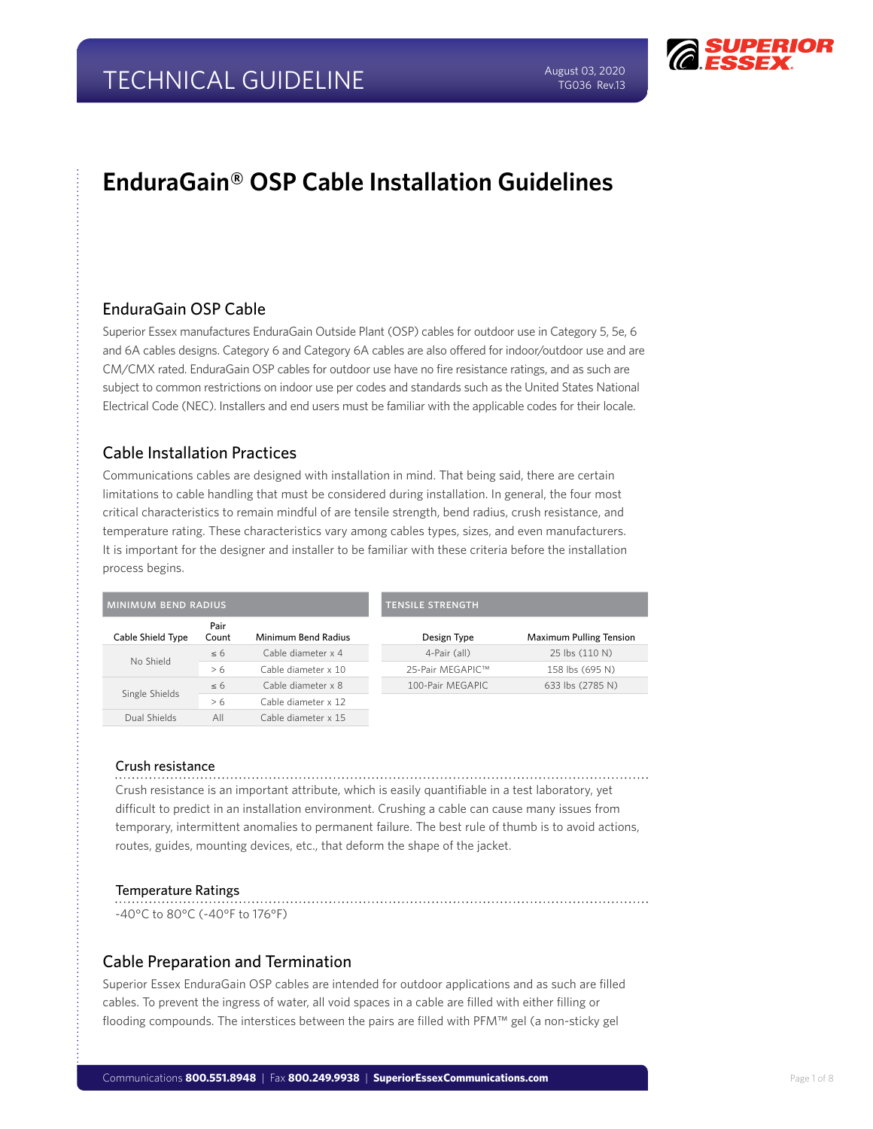

## **EnduraGain® OSP Cable Installation Guidelines**

## EnduraGain OSP Cable

Superior Essex manufactures EnduraGain Outside Plant (OSP) cables for outdoor use in Category 5, 5e, 6 and 6A cables designs. Category 6 and Category 6A cables are also offered for indoor/outdoor use and are CM/CMX rated. EnduraGain OSP cables for outdoor use have no fire resistance ratings, and as such are subject to common restrictions on indoor use per codes and standards such as the United States National Electrical Code (NEC). Installers and end users must be familiar with the applicable codes for their locale.

## Cable Installation Practices

Communications cables are designed with installation in mind. That being said, there are certain limitations to cable handling that must be considered during installation. In general, the four most critical characteristics to remain mindful of are tensile strength, bend radius, crush resistance, and temperature rating. These characteristics vary among cables types, sizes, and even manufacturers. It is important for the designer and installer to be familiar with these criteria before the installation process begins.

| <b>MINIMUM BEND RADIUS</b> |               |                     | <b>TENSILE STRENGTH</b> |                                |
|----------------------------|---------------|---------------------|-------------------------|--------------------------------|
| Cable Shield Type          | Pair<br>Count | Minimum Bend Radius | Design Type             | <b>Maximum Pulling Tension</b> |
| No Shield                  | $\leq 6$      | Cable diameter x 4  | 4-Pair (all)            | 25 lbs (110 N)                 |
|                            | > 6           | Cable diameter x 10 | 25-Pair MEGAPIC™        | 158 lbs (695 N)                |
| Single Shields             | $\leq 6$      | Cable diameter x 8  | 100-Pair MEGAPIC        | 633 lbs (2785 N)               |
|                            | > 6           | Cable diameter x 12 |                         |                                |
| Dual Shields               | All           | Cable diameter x 15 |                         |                                |

#### Crush resistance

Crush resistance is an important attribute, which is easily quantifiable in a test laboratory, yet difficult to predict in an installation environment. Crushing a cable can cause many issues from temporary, intermittent anomalies to permanent failure. The best rule of thumb is to avoid actions, routes, guides, mounting devices, etc., that deform the shape of the jacket.

#### Temperature Ratings

-40°C to 80°C (-40°F to 176°F)

### Cable Preparation and Termination

Superior Essex EnduraGain OSP cables are intended for outdoor applications and as such are filled cables. To prevent the ingress of water, all void spaces in a cable are filled with either filling or flooding compounds. The interstices between the pairs are filled with PFM™ gel (a non-sticky gel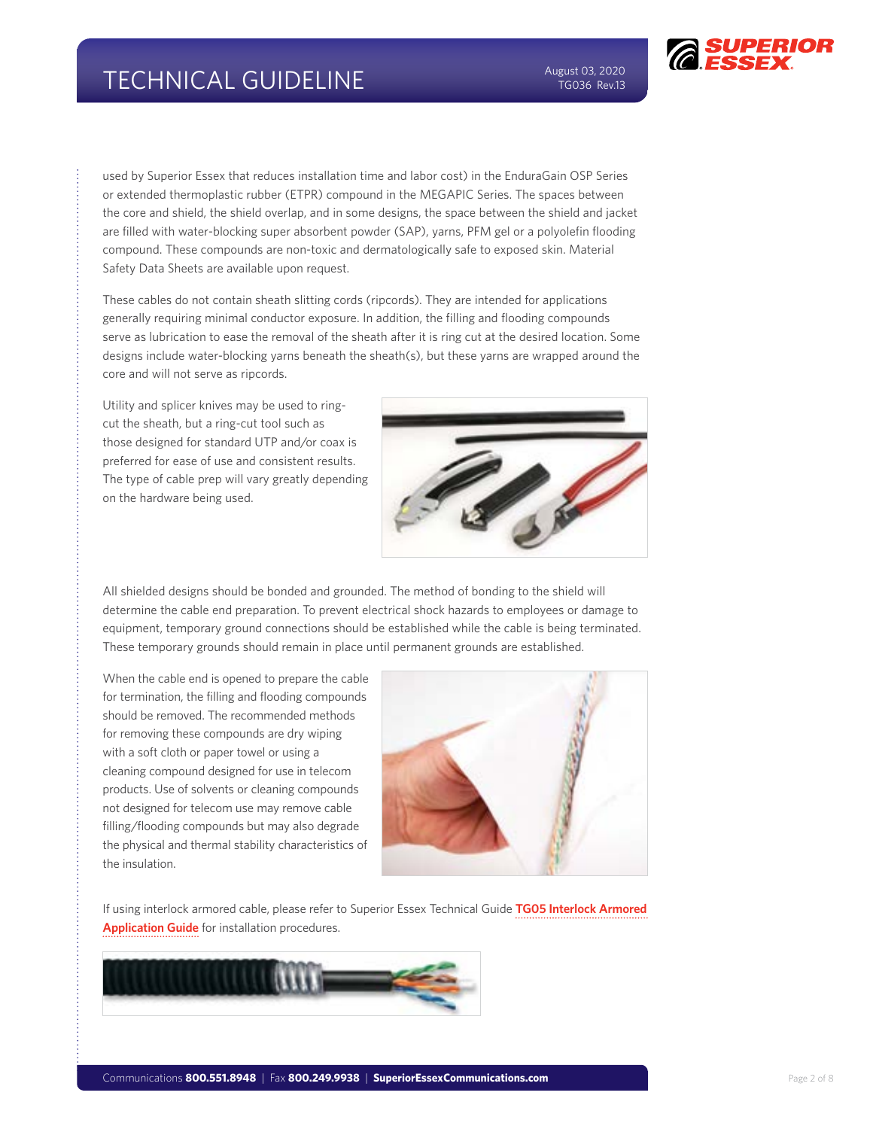used by Superior Essex that reduces installation time and labor cost) in the EnduraGain OSP Series or extended thermoplastic rubber (ETPR) compound in the MEGAPIC Series. The spaces between the core and shield, the shield overlap, and in some designs, the space between the shield and jacket are filled with water-blocking super absorbent powder (SAP), yarns, PFM gel or a polyolefin flooding compound. These compounds are non-toxic and dermatologically safe to exposed skin. Material Safety Data Sheets are available upon request.

These cables do not contain sheath slitting cords (ripcords). They are intended for applications generally requiring minimal conductor exposure. In addition, the filling and flooding compounds serve as lubrication to ease the removal of the sheath after it is ring cut at the desired location. Some designs include water-blocking yarns beneath the sheath(s), but these yarns are wrapped around the core and will not serve as ripcords.

Utility and splicer knives may be used to ringcut the sheath, but a ring-cut tool such as those designed for standard UTP and/or coax is preferred for ease of use and consistent results. The type of cable prep will vary greatly depending on the hardware being used.



All shielded designs should be bonded and grounded. The method of bonding to the shield will determine the cable end preparation. To prevent electrical shock hazards to employees or damage to equipment, temporary ground connections should be established while the cable is being terminated. These temporary grounds should remain in place until permanent grounds are established.

When the cable end is opened to prepare the cable for termination, the filling and flooding compounds should be removed. The recommended methods for removing these compounds are dry wiping with a soft cloth or paper towel or using a cleaning compound designed for use in telecom products. Use of solvents or cleaning compounds not designed for telecom use may remove cable filling/flooding compounds but may also degrade the physical and thermal stability characteristics of the insulation.



If using interlock armored cable, please refer to Superior Essex Technical Guide **[TG05 Interlock Armored](http://ce.superioressex.com/uploadedfiles/docs/pdf/technical-guidelines/tg05-interlock-armored-app-guide.pdf)  [Application Guide](http://ce.superioressex.com/uploadedfiles/docs/pdf/technical-guidelines/tg05-interlock-armored-app-guide.pdf)** for installation procedures.

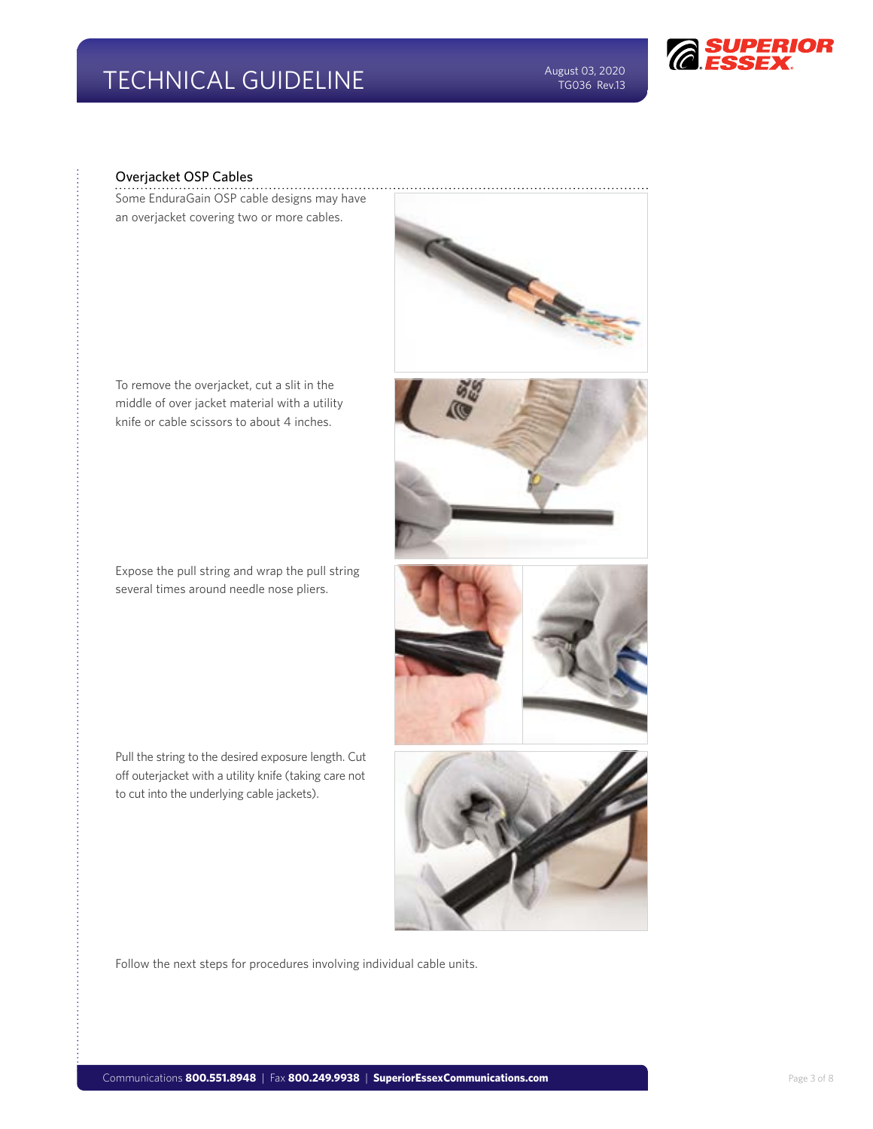

#### Overjacket OSP Cables

Some EnduraGain OSP cable designs may have an overjacket covering two or more cables.



To remove the overjacket, cut a slit in the middle of over jacket material with a utility knife or cable scissors to about 4 inches.

Expose the pull string and wrap the pull string several times around needle nose pliers.

Pull the string to the desired exposure length. Cut off outerjacket with a utility knife (taking care not to cut into the underlying cable jackets).



Follow the next steps for procedures involving individual cable units.



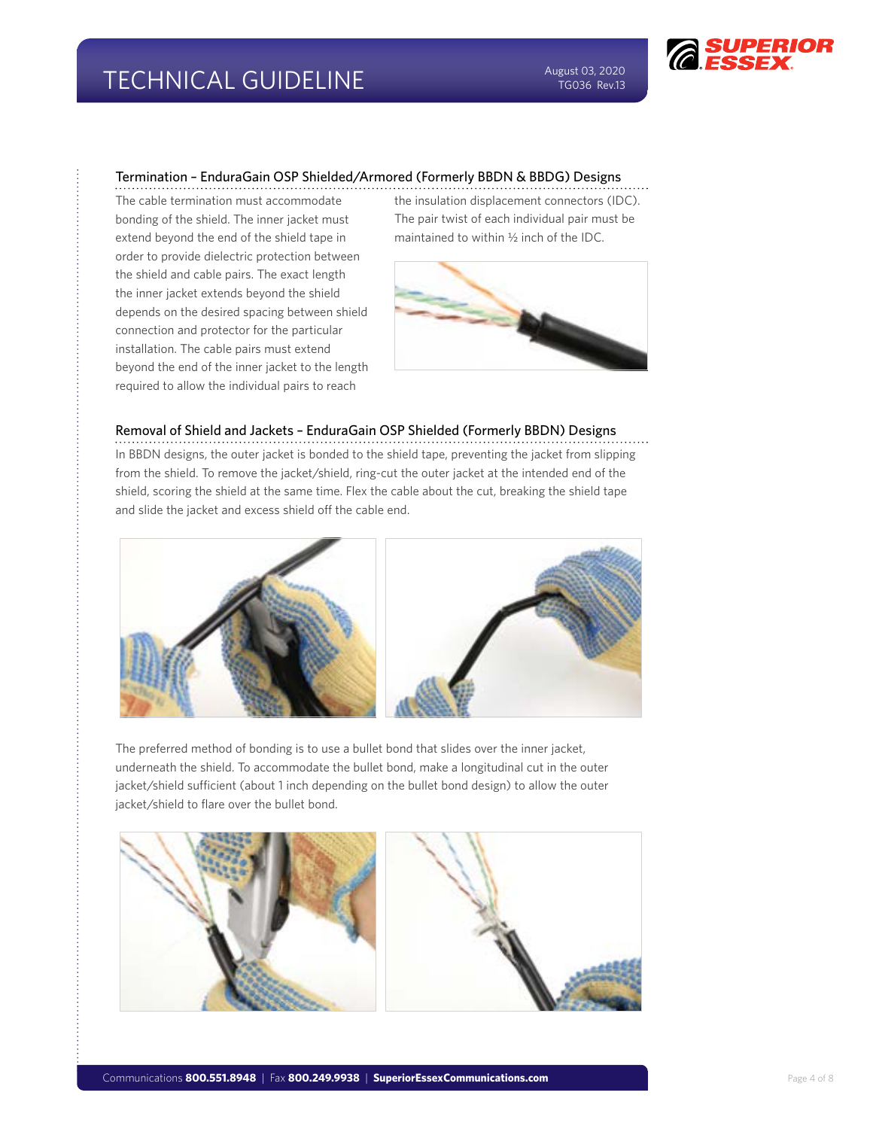#### Termination – EnduraGain OSP Shielded/Armored (Formerly BBDN & BBDG) Designs

The cable termination must accommodate bonding of the shield. The inner jacket must extend beyond the end of the shield tape in order to provide dielectric protection between the shield and cable pairs. The exact length the inner jacket extends beyond the shield depends on the desired spacing between shield connection and protector for the particular installation. The cable pairs must extend beyond the end of the inner jacket to the length required to allow the individual pairs to reach

the insulation displacement connectors (IDC). The pair twist of each individual pair must be maintained to within ½ inch of the IDC.



#### Removal of Shield and Jackets – EnduraGain OSP Shielded (Formerly BBDN) Designs

In BBDN designs, the outer jacket is bonded to the shield tape, preventing the jacket from slipping from the shield. To remove the jacket/shield, ring-cut the outer jacket at the intended end of the shield, scoring the shield at the same time. Flex the cable about the cut, breaking the shield tape and slide the jacket and excess shield off the cable end.



The preferred method of bonding is to use a bullet bond that slides over the inner jacket, underneath the shield. To accommodate the bullet bond, make a longitudinal cut in the outer jacket/shield sufficient (about 1 inch depending on the bullet bond design) to allow the outer jacket/shield to flare over the bullet bond.

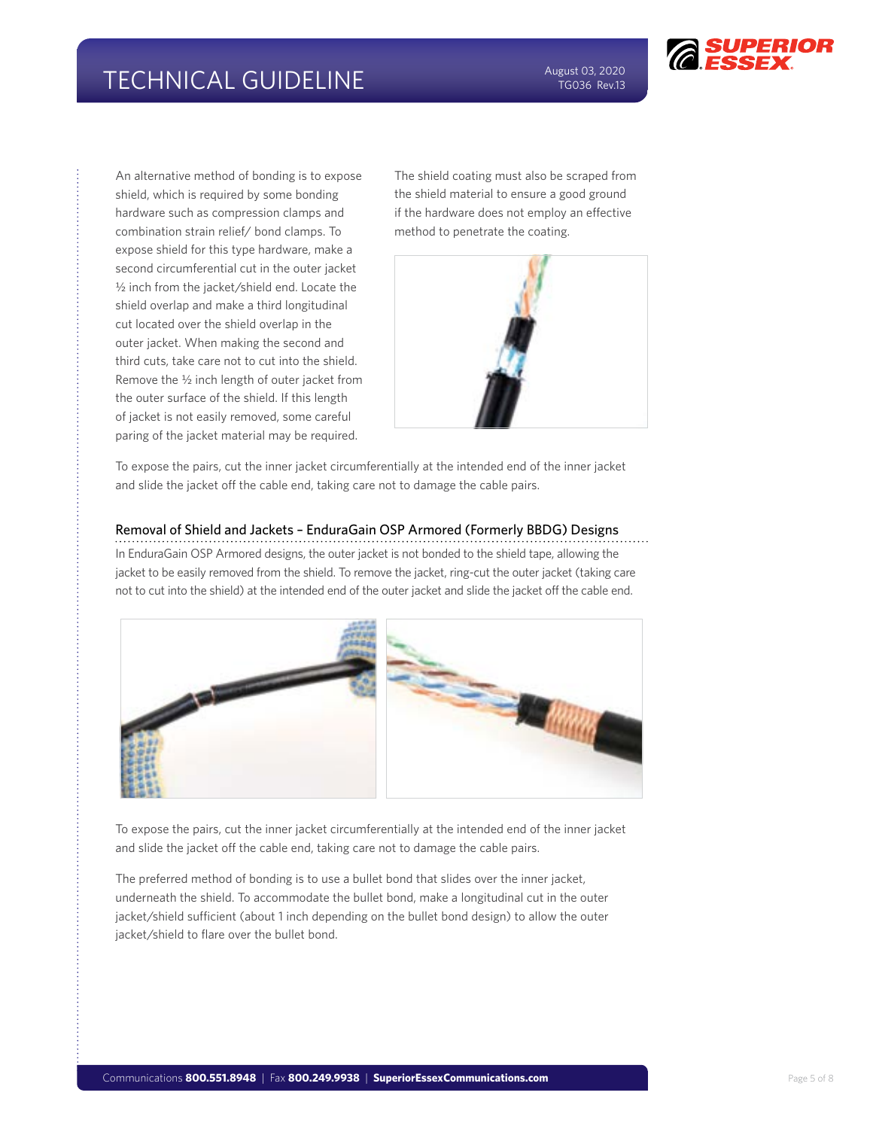

An alternative method of bonding is to expose shield, which is required by some bonding hardware such as compression clamps and combination strain relief/ bond clamps. To expose shield for this type hardware, make a second circumferential cut in the outer jacket ½ inch from the jacket/shield end. Locate the shield overlap and make a third longitudinal cut located over the shield overlap in the outer jacket. When making the second and third cuts, take care not to cut into the shield. Remove the ½ inch length of outer jacket from the outer surface of the shield. If this length of jacket is not easily removed, some careful paring of the jacket material may be required.

The shield coating must also be scraped from the shield material to ensure a good ground if the hardware does not employ an effective method to penetrate the coating.



To expose the pairs, cut the inner jacket circumferentially at the intended end of the inner jacket and slide the jacket off the cable end, taking care not to damage the cable pairs.

#### Removal of Shield and Jackets – EnduraGain OSP Armored (Formerly BBDG) Designs

In EnduraGain OSP Armored designs, the outer jacket is not bonded to the shield tape, allowing the jacket to be easily removed from the shield. To remove the jacket, ring-cut the outer jacket (taking care not to cut into the shield) at the intended end of the outer jacket and slide the jacket off the cable end.



To expose the pairs, cut the inner jacket circumferentially at the intended end of the inner jacket and slide the jacket off the cable end, taking care not to damage the cable pairs.

The preferred method of bonding is to use a bullet bond that slides over the inner jacket, underneath the shield. To accommodate the bullet bond, make a longitudinal cut in the outer jacket/shield sufficient (about 1 inch depending on the bullet bond design) to allow the outer jacket/shield to flare over the bullet bond.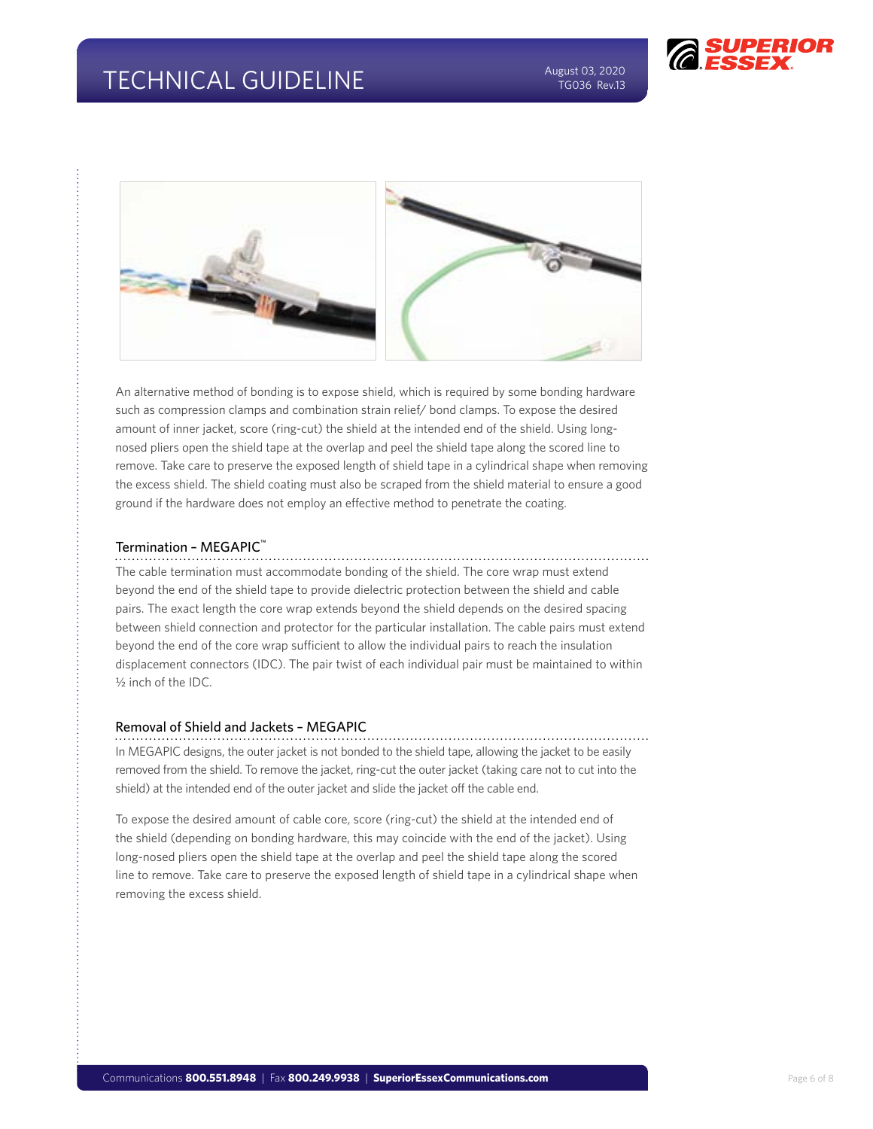



An alternative method of bonding is to expose shield, which is required by some bonding hardware such as compression clamps and combination strain relief/ bond clamps. To expose the desired amount of inner jacket, score (ring-cut) the shield at the intended end of the shield. Using longnosed pliers open the shield tape at the overlap and peel the shield tape along the scored line to remove. Take care to preserve the exposed length of shield tape in a cylindrical shape when removing the excess shield. The shield coating must also be scraped from the shield material to ensure a good ground if the hardware does not employ an effective method to penetrate the coating.

#### Termination - MEGAPIC<sup>™</sup>

The cable termination must accommodate bonding of the shield. The core wrap must extend beyond the end of the shield tape to provide dielectric protection between the shield and cable pairs. The exact length the core wrap extends beyond the shield depends on the desired spacing between shield connection and protector for the particular installation. The cable pairs must extend beyond the end of the core wrap sufficient to allow the individual pairs to reach the insulation displacement connectors (IDC). The pair twist of each individual pair must be maintained to within ½ inch of the IDC.

#### Removal of Shield and Jackets – MEGAPIC

In MEGAPIC designs, the outer jacket is not bonded to the shield tape, allowing the jacket to be easily removed from the shield. To remove the jacket, ring-cut the outer jacket (taking care not to cut into the shield) at the intended end of the outer jacket and slide the jacket off the cable end.

To expose the desired amount of cable core, score (ring-cut) the shield at the intended end of the shield (depending on bonding hardware, this may coincide with the end of the jacket). Using long-nosed pliers open the shield tape at the overlap and peel the shield tape along the scored line to remove. Take care to preserve the exposed length of shield tape in a cylindrical shape when removing the excess shield.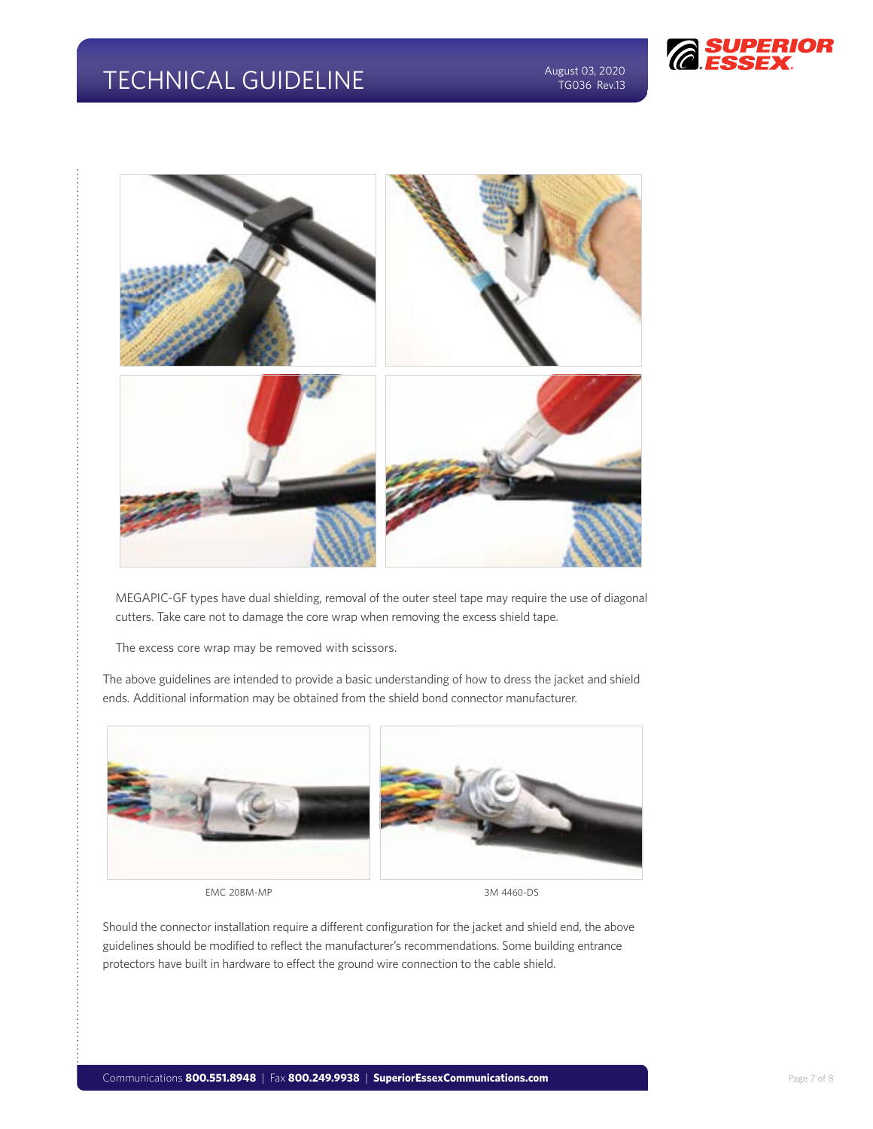# TECHNICAL GUIDELINE August 03, 2020

TG036 Rev.13





MEGAPIC-GF types have dual shielding, removal of the outer steel tape may require the use of diagonal cutters. Take care not to damage the core wrap when removing the excess shield tape.

The excess core wrap may be removed with scissors.

The above guidelines are intended to provide a basic understanding of how to dress the jacket and shield ends. Additional information may be obtained from the shield bond connector manufacturer.



EMC 20BM-MP 3M 4460-DS

Should the connector installation require a different configuration for the jacket and shield end, the above guidelines should be modified to reflect the manufacturer's recommendations. Some building entrance protectors have built in hardware to effect the ground wire connection to the cable shield.